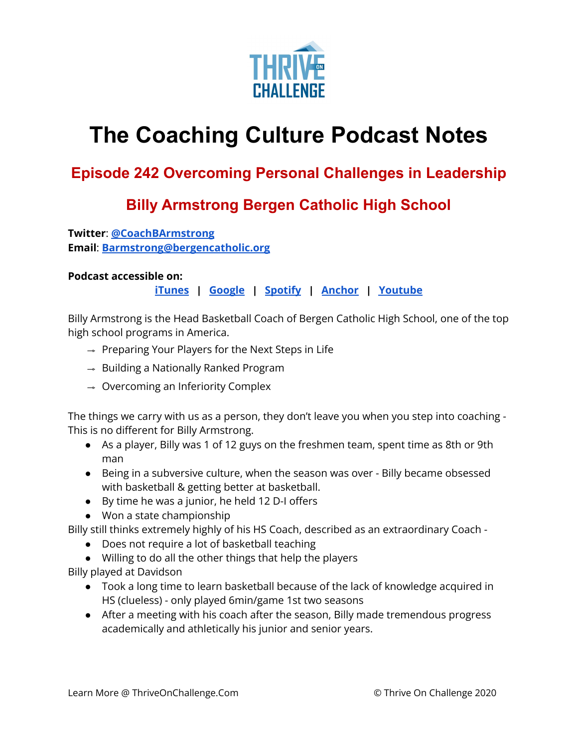

## **The Coaching Culture Podcast Notes**

## **Episode 242 OYercoming Personal Challenges in Leadership**

## **Bill\ Armstrong Bergen Catholic High School**

**Twitter: @CoachBArmstrong Email: Barmstrong@bergencatholic.org** 

## **Podcast accessible on:**

 $i$  **Tunes**  $\parallel$  **Google**  $\parallel$  **Spotify**  $\parallel$  **Anchor**  $\parallel$  Youtube

Billy Armstrong is the Head Basketball Coach of Bergen Catholic High School, one of the top high school programs in America.

- $\rightarrow$  Preparing Your Players for the Next Steps in Life
- $\rightarrow$  Building a Nationally Ranked Program
- $\rightarrow$  Overcoming an Inferiority Complex

The things we carry with us as a person, they don't leave you when you step into coaching -This is no different for Billy Armstrong.

- As a player, Billy was 1 of 12 guys on the freshmen team, spent time as 8th or 9th man
- Being in a subversive culture, when the season was over Billy became obsessed with basketball & getting better at basketball.
- $\bullet$  By time he was a junior, he held 12 D-I offers
- Won a state championship

Billy still thinks extremely highly of his HS Coach, described as an extraordinary Coach -

- Does not require a lot of basketball teaching
- Willing to do all the other things that help the players

Billy played at Davidson

- Took a long time to learn basketball because of the lack of knowledge acquired in HS (clueless) - only played 6min/game 1st two seasons
- After a meeting with his coach after the season, Billy made tremendous progress academically and athletically his junior and senior years.